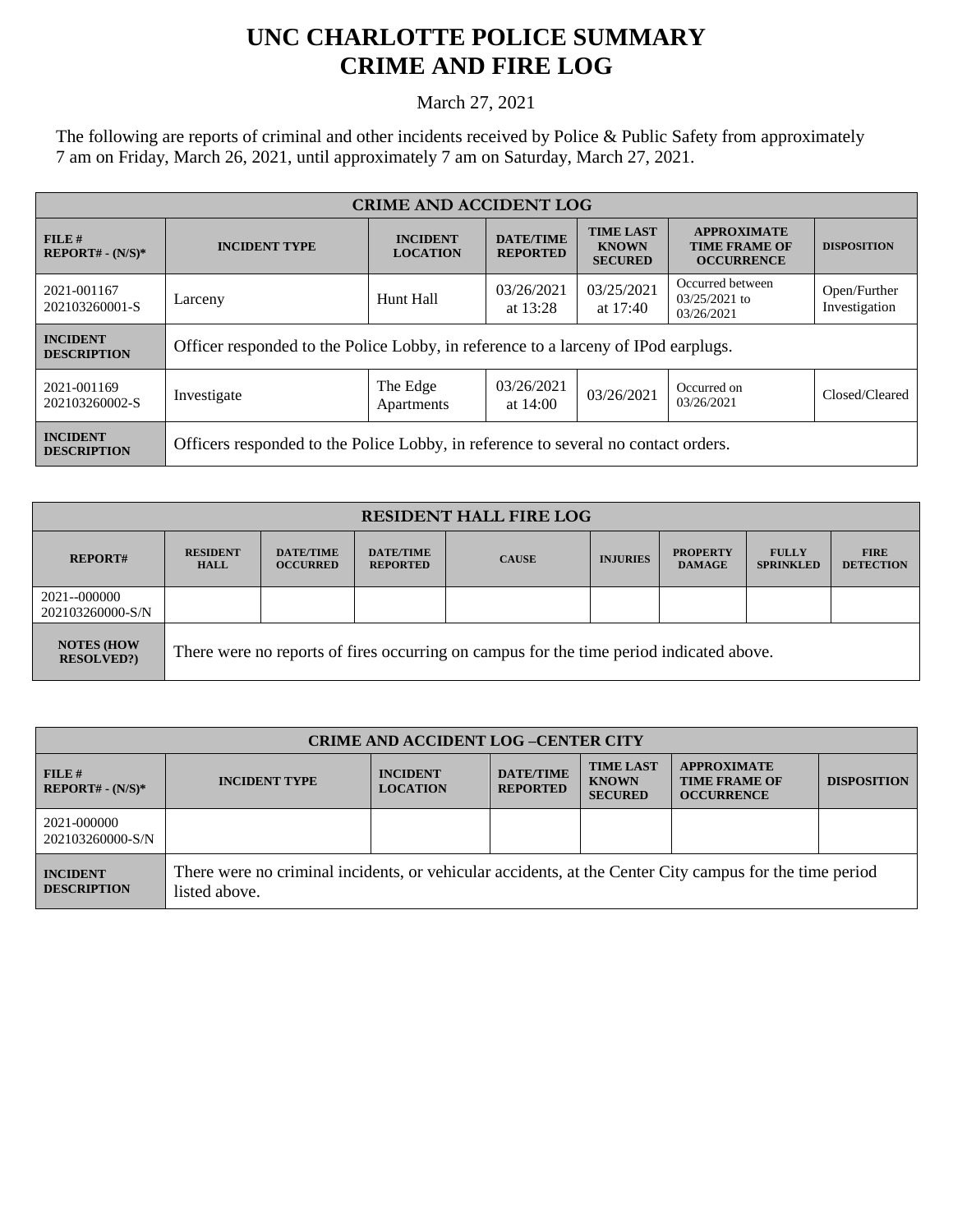## **UNC CHARLOTTE POLICE SUMMARY CRIME AND FIRE LOG**

March 27, 2021

The following are reports of criminal and other incidents received by Police & Public Safety from approximately 7 am on Friday, March 26, 2021, until approximately 7 am on Saturday, March 27, 2021.

| <b>CRIME AND ACCIDENT LOG</b>         |                                                                                    |                                    |                                     |                                                    |                                                                 |                               |  |
|---------------------------------------|------------------------------------------------------------------------------------|------------------------------------|-------------------------------------|----------------------------------------------------|-----------------------------------------------------------------|-------------------------------|--|
| FILE#<br>$REPORT# - (N/S)*$           | <b>INCIDENT TYPE</b>                                                               | <b>INCIDENT</b><br><b>LOCATION</b> | <b>DATE/TIME</b><br><b>REPORTED</b> | <b>TIME LAST</b><br><b>KNOWN</b><br><b>SECURED</b> | <b>APPROXIMATE</b><br><b>TIME FRAME OF</b><br><b>OCCURRENCE</b> | <b>DISPOSITION</b>            |  |
| 2021-001167<br>202103260001-S         | Larceny                                                                            | Hunt Hall                          | 03/26/2021<br>at $13:28$            | 03/25/2021<br>at $17:40$                           | Occurred between<br>$03/25/2021$ to<br>03/26/2021               | Open/Further<br>Investigation |  |
| <b>INCIDENT</b><br><b>DESCRIPTION</b> | Officer responded to the Police Lobby, in reference to a larceny of IPod earplugs. |                                    |                                     |                                                    |                                                                 |                               |  |
| 2021-001169<br>202103260002-S         | Investigate                                                                        | The Edge<br>Apartments             | 03/26/2021<br>at $14:00$            | 03/26/2021                                         | Occurred on<br>03/26/2021                                       | Closed/Cleared                |  |
| <b>INCIDENT</b><br><b>DESCRIPTION</b> | Officers responded to the Police Lobby, in reference to several no contact orders. |                                    |                                     |                                                    |                                                                 |                               |  |

| <b>RESIDENT HALL FIRE LOG</b>          |                                                                                         |                                     |                                     |              |                 |                                  |                                  |                                 |
|----------------------------------------|-----------------------------------------------------------------------------------------|-------------------------------------|-------------------------------------|--------------|-----------------|----------------------------------|----------------------------------|---------------------------------|
| <b>REPORT#</b>                         | <b>RESIDENT</b><br><b>HALL</b>                                                          | <b>DATE/TIME</b><br><b>OCCURRED</b> | <b>DATE/TIME</b><br><b>REPORTED</b> | <b>CAUSE</b> | <b>INJURIES</b> | <b>PROPERTY</b><br><b>DAMAGE</b> | <b>FULLY</b><br><b>SPRINKLED</b> | <b>FIRE</b><br><b>DETECTION</b> |
| 2021--000000<br>202103260000-S/N       |                                                                                         |                                     |                                     |              |                 |                                  |                                  |                                 |
| <b>NOTES (HOW)</b><br><b>RESOLVED?</b> | There were no reports of fires occurring on campus for the time period indicated above. |                                     |                                     |              |                 |                                  |                                  |                                 |

| <b>CRIME AND ACCIDENT LOG-CENTER CITY</b> |                                                                                                                          |                                    |                                     |                                                    |                                                                 |                    |
|-------------------------------------------|--------------------------------------------------------------------------------------------------------------------------|------------------------------------|-------------------------------------|----------------------------------------------------|-----------------------------------------------------------------|--------------------|
| FILE H<br>$REPORT# - (N/S)*$              | <b>INCIDENT TYPE</b>                                                                                                     | <b>INCIDENT</b><br><b>LOCATION</b> | <b>DATE/TIME</b><br><b>REPORTED</b> | <b>TIME LAST</b><br><b>KNOWN</b><br><b>SECURED</b> | <b>APPROXIMATE</b><br><b>TIME FRAME OF</b><br><b>OCCURRENCE</b> | <b>DISPOSITION</b> |
| 2021-000000<br>202103260000-S/N           |                                                                                                                          |                                    |                                     |                                                    |                                                                 |                    |
| <b>INCIDENT</b><br><b>DESCRIPTION</b>     | There were no criminal incidents, or vehicular accidents, at the Center City campus for the time period<br>listed above. |                                    |                                     |                                                    |                                                                 |                    |